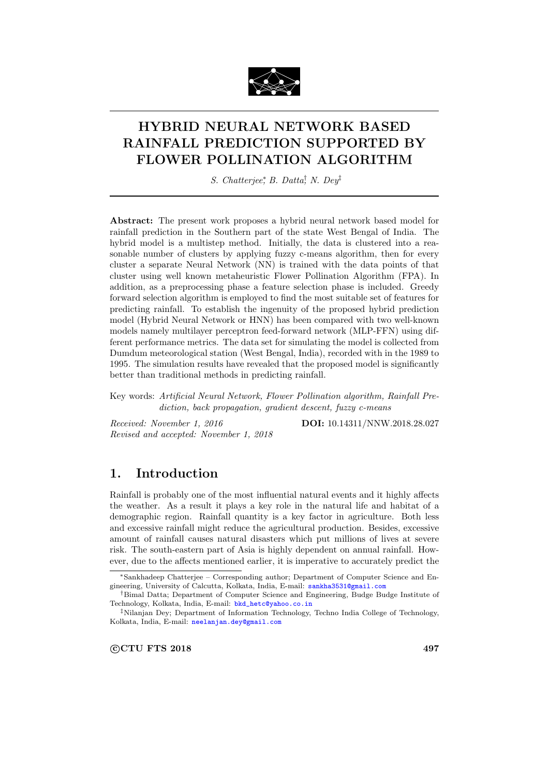

# HYBRID NEURAL NETWORK BASED RAINFALL PREDICTION SUPPORTED BY FLOWER POLLINATION ALGORITHM

S. Chatterjee<sup>\*</sup>, B. Datta<sup>†</sup>, N. Dey<sup>‡</sup>

Abstract: The present work proposes a hybrid neural network based model for rainfall prediction in the Southern part of the state West Bengal of India. The hybrid model is a multistep method. Initially, the data is clustered into a reasonable number of clusters by applying fuzzy c-means algorithm, then for every cluster a separate Neural Network (NN) is trained with the data points of that cluster using well known metaheuristic Flower Pollination Algorithm (FPA). In addition, as a preprocessing phase a feature selection phase is included. Greedy forward selection algorithm is employed to find the most suitable set of features for predicting rainfall. To establish the ingenuity of the proposed hybrid prediction model (Hybrid Neural Network or HNN) has been compared with two well-known models namely multilayer perceptron feed-forward network (MLP-FFN) using different performance metrics. The data set for simulating the model is collected from Dumdum meteorological station (West Bengal, India), recorded with in the 1989 to 1995. The simulation results have revealed that the proposed model is significantly better than traditional methods in predicting rainfall.

Key words: Artificial Neural Network, Flower Pollination algorithm, Rainfall Prediction, back propagation, gradient descent, fuzzy c-means

Received: November 1, 2016 **DOI:** 10.14311/NNW.2018.28.027 Revised and accepted: November 1, 2018

# 1. Introduction

Rainfall is probably one of the most influential natural events and it highly affects the weather. As a result it plays a key role in the natural life and habitat of a demographic region. Rainfall quantity is a key factor in agriculture. Both less and excessive rainfall might reduce the agricultural production. Besides, excessive amount of rainfall causes natural disasters which put millions of lives at severe risk. The south-eastern part of Asia is highly dependent on annual rainfall. However, due to the affects mentioned earlier, it is imperative to accurately predict the

<sup>∗</sup>Sankhadeep Chatterjee – Corresponding author; Department of Computer Science and Engineering, University of Calcutta, Kolkata, India, E-mail: [sankha3531@gmail.com](mailto:sankha3531@gmail.com)

<sup>†</sup>Bimal Datta; Department of Computer Science and Engineering, Budge Budge Institute of Technology, Kolkata, India, E-mail: [bkd\\_hetc@yahoo.co.in](mailto:bkd_hetc@yahoo.co.in)

<sup>‡</sup>Nilanjan Dey; Department of Information Technology, Techno India College of Technology, Kolkata, India, E-mail: [neelanjan.dey@gmail.com](mailto:neelanjan.dey@gmail.com)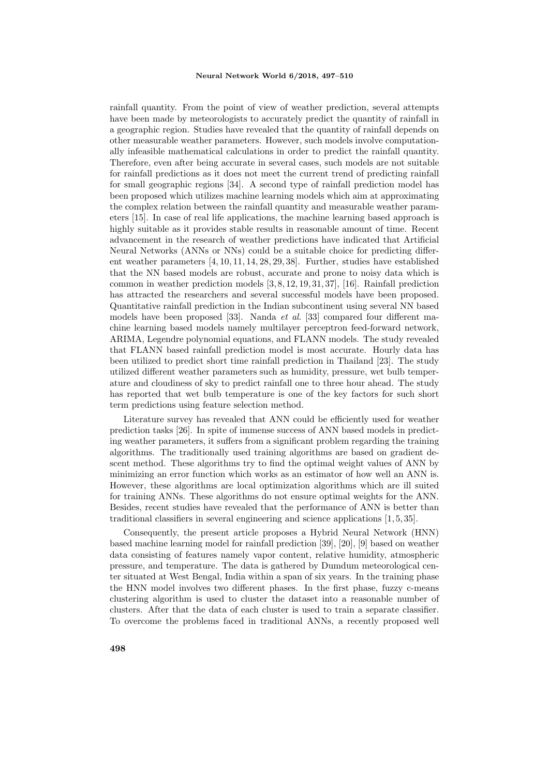rainfall quantity. From the point of view of weather prediction, several attempts have been made by meteorologists to accurately predict the quantity of rainfall in a geographic region. Studies have revealed that the quantity of rainfall depends on other measurable weather parameters. However, such models involve computationally infeasible mathematical calculations in order to predict the rainfall quantity. Therefore, even after being accurate in several cases, such models are not suitable for rainfall predictions as it does not meet the current trend of predicting rainfall for small geographic regions [34]. A second type of rainfall prediction model has been proposed which utilizes machine learning models which aim at approximating the complex relation between the rainfall quantity and measurable weather parameters [15]. In case of real life applications, the machine learning based approach is highly suitable as it provides stable results in reasonable amount of time. Recent advancement in the research of weather predictions have indicated that Artificial Neural Networks (ANNs or NNs) could be a suitable choice for predicting different weather parameters [4, 10, 11, 14, 28, 29, 38]. Further, studies have established that the NN based models are robust, accurate and prone to noisy data which is common in weather prediction models [3, 8, 12, 19, 31, 37], [16]. Rainfall prediction has attracted the researchers and several successful models have been proposed. Quantitative rainfall prediction in the Indian subcontinent using several NN based models have been proposed [33]. Nanda et al. [33] compared four different machine learning based models namely multilayer perceptron feed-forward network, ARIMA, Legendre polynomial equations, and FLANN models. The study revealed that FLANN based rainfall prediction model is most accurate. Hourly data has been utilized to predict short time rainfall prediction in Thailand [23]. The study utilized different weather parameters such as humidity, pressure, wet bulb temperature and cloudiness of sky to predict rainfall one to three hour ahead. The study has reported that wet bulb temperature is one of the key factors for such short term predictions using feature selection method.

Literature survey has revealed that ANN could be efficiently used for weather prediction tasks [26]. In spite of immense success of ANN based models in predicting weather parameters, it suffers from a significant problem regarding the training algorithms. The traditionally used training algorithms are based on gradient descent method. These algorithms try to find the optimal weight values of ANN by minimizing an error function which works as an estimator of how well an ANN is. However, these algorithms are local optimization algorithms which are ill suited for training ANNs. These algorithms do not ensure optimal weights for the ANN. Besides, recent studies have revealed that the performance of ANN is better than traditional classifiers in several engineering and science applications [1, 5, 35].

Consequently, the present article proposes a Hybrid Neural Network (HNN) based machine learning model for rainfall prediction [39], [20], [9] based on weather data consisting of features namely vapor content, relative humidity, atmospheric pressure, and temperature. The data is gathered by Dumdum meteorological center situated at West Bengal, India within a span of six years. In the training phase the HNN model involves two different phases. In the first phase, fuzzy c-means clustering algorithm is used to cluster the dataset into a reasonable number of clusters. After that the data of each cluster is used to train a separate classifier. To overcome the problems faced in traditional ANNs, a recently proposed well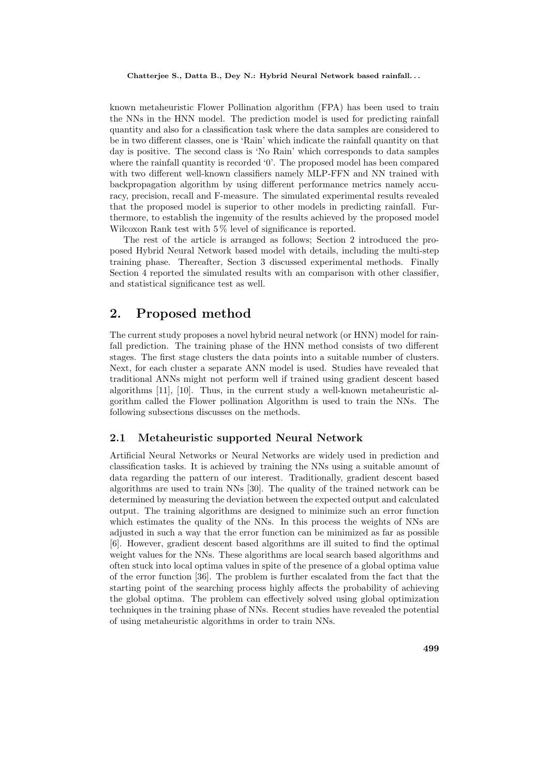known metaheuristic Flower Pollination algorithm (FPA) has been used to train the NNs in the HNN model. The prediction model is used for predicting rainfall quantity and also for a classification task where the data samples are considered to be in two different classes, one is 'Rain' which indicate the rainfall quantity on that day is positive. The second class is 'No Rain' which corresponds to data samples where the rainfall quantity is recorded '0'. The proposed model has been compared with two different well-known classifiers namely MLP-FFN and NN trained with backpropagation algorithm by using different performance metrics namely accuracy, precision, recall and F-measure. The simulated experimental results revealed that the proposed model is superior to other models in predicting rainfall. Furthermore, to establish the ingenuity of the results achieved by the proposed model Wilcoxon Rank test with  $5\%$  level of significance is reported.

The rest of the article is arranged as follows; Section 2 introduced the proposed Hybrid Neural Network based model with details, including the multi-step training phase. Thereafter, Section 3 discussed experimental methods. Finally Section 4 reported the simulated results with an comparison with other classifier, and statistical significance test as well.

### 2. Proposed method

The current study proposes a novel hybrid neural network (or HNN) model for rainfall prediction. The training phase of the HNN method consists of two different stages. The first stage clusters the data points into a suitable number of clusters. Next, for each cluster a separate ANN model is used. Studies have revealed that traditional ANNs might not perform well if trained using gradient descent based algorithms [11], [10]. Thus, in the current study a well-known metaheuristic algorithm called the Flower pollination Algorithm is used to train the NNs. The following subsections discusses on the methods.

### 2.1 Metaheuristic supported Neural Network

Artificial Neural Networks or Neural Networks are widely used in prediction and classification tasks. It is achieved by training the NNs using a suitable amount of data regarding the pattern of our interest. Traditionally, gradient descent based algorithms are used to train NNs [30]. The quality of the trained network can be determined by measuring the deviation between the expected output and calculated output. The training algorithms are designed to minimize such an error function which estimates the quality of the NNs. In this process the weights of NNs are adjusted in such a way that the error function can be minimized as far as possible [6]. However, gradient descent based algorithms are ill suited to find the optimal weight values for the NNs. These algorithms are local search based algorithms and often stuck into local optima values in spite of the presence of a global optima value of the error function [36]. The problem is further escalated from the fact that the starting point of the searching process highly affects the probability of achieving the global optima. The problem can effectively solved using global optimization techniques in the training phase of NNs. Recent studies have revealed the potential of using metaheuristic algorithms in order to train NNs.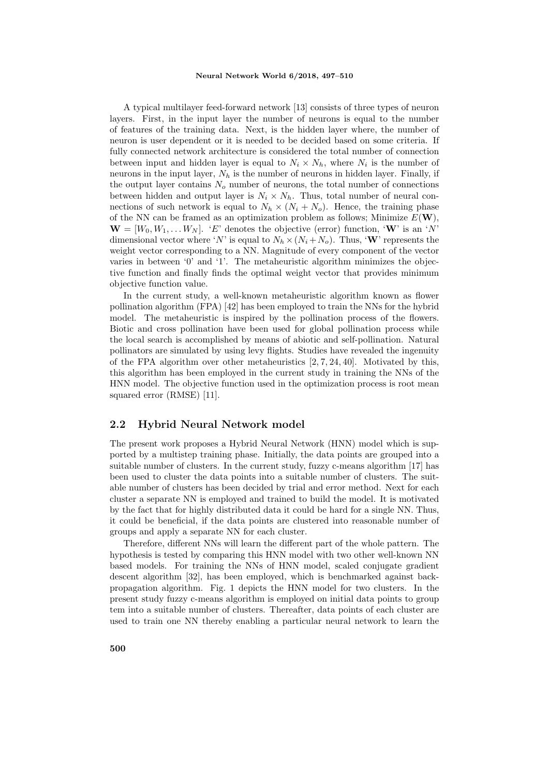A typical multilayer feed-forward network [13] consists of three types of neuron layers. First, in the input layer the number of neurons is equal to the number of features of the training data. Next, is the hidden layer where, the number of neuron is user dependent or it is needed to be decided based on some criteria. If fully connected network architecture is considered the total number of connection between input and hidden layer is equal to  $N_i \times N_h$ , where  $N_i$  is the number of neurons in the input layer,  $N_h$  is the number of neurons in hidden layer. Finally, if the output layer contains  $N<sub>o</sub>$  number of neurons, the total number of connections between hidden and output layer is  $N_i \times N_h$ . Thus, total number of neural connections of such network is equal to  $N_h \times (N_i + N_o)$ . Hence, the training phase of the NN can be framed as an optimization problem as follows; Minimize  $E(\mathbf{W})$ ,  $\mathbf{W} = [W_0, W_1, \dots W_N]$ . 'E' denotes the objective (error) function, 'W' is an 'N' dimensional vector where 'N' is equal to  $N_h \times (N_i + N_o)$ . Thus, 'W' represents the weight vector corresponding to a NN. Magnitude of every component of the vector varies in between '0' and '1'. The metaheuristic algorithm minimizes the objective function and finally finds the optimal weight vector that provides minimum objective function value.

In the current study, a well-known metaheuristic algorithm known as flower pollination algorithm (FPA) [42] has been employed to train the NNs for the hybrid model. The metaheuristic is inspired by the pollination process of the flowers. Biotic and cross pollination have been used for global pollination process while the local search is accomplished by means of abiotic and self-pollination. Natural pollinators are simulated by using levy flights. Studies have revealed the ingenuity of the FPA algorithm over other metaheuristics [2, 7, 24, 40]. Motivated by this, this algorithm has been employed in the current study in training the NNs of the HNN model. The objective function used in the optimization process is root mean squared error (RMSE) [11].

### 2.2 Hybrid Neural Network model

The present work proposes a Hybrid Neural Network (HNN) model which is supported by a multistep training phase. Initially, the data points are grouped into a suitable number of clusters. In the current study, fuzzy c-means algorithm [17] has been used to cluster the data points into a suitable number of clusters. The suitable number of clusters has been decided by trial and error method. Next for each cluster a separate NN is employed and trained to build the model. It is motivated by the fact that for highly distributed data it could be hard for a single NN. Thus, it could be beneficial, if the data points are clustered into reasonable number of groups and apply a separate NN for each cluster.

Therefore, different NNs will learn the different part of the whole pattern. The hypothesis is tested by comparing this HNN model with two other well-known NN based models. For training the NNs of HNN model, scaled conjugate gradient descent algorithm [32], has been employed, which is benchmarked against backpropagation algorithm. Fig. 1 depicts the HNN model for two clusters. In the present study fuzzy c-means algorithm is employed on initial data points to group tem into a suitable number of clusters. Thereafter, data points of each cluster are used to train one NN thereby enabling a particular neural network to learn the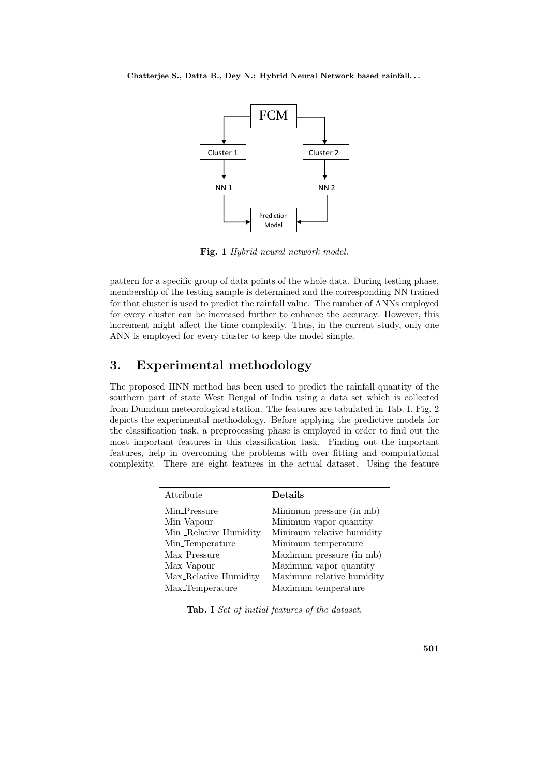Chatterjee S., Datta B., Dey N.: Hybrid Neural Network based rainfall. . .



Fig. 1 Hybrid neural network model.

pattern for a specific group of data points of the whole data. During testing phase, membership of the testing sample is determined and the corresponding NN trained for that cluster is used to predict the rainfall value. The number of ANNs employed for every cluster can be increased further to enhance the accuracy. However, this increment might affect the time complexity. Thus, in the current study, only one ANN is employed for every cluster to keep the model simple.

# 3. Experimental methodology

The proposed HNN method has been used to predict the rainfall quantity of the southern part of state West Bengal of India using a data set which is collected from Dumdum meteorological station. The features are tabulated in Tab. I. Fig. 2 depicts the experimental methodology. Before applying the predictive models for the classification task, a preprocessing phase is employed in order to find out the most important features in this classification task. Finding out the important features, help in overcoming the problems with over fitting and computational complexity. There are eight features in the actual dataset. Using the feature

| Attribute                   | Details                   |
|-----------------------------|---------------------------|
| Min_Pressure                | Minimum pressure (in mb)  |
| Min <sub>-Vapour</sub>      | Minimum vapor quantity    |
| Min _Relative Humidity      | Minimum relative humidity |
| Min <sub>-Temperature</sub> | Minimum temperature       |
| Max_Pressure                | Maximum pressure (in mb)  |
| Max_Vapour                  | Maximum vapor quantity    |
| Max_Relative Humidity       | Maximum relative humidity |
| Max_Temperature             | Maximum temperature       |

Tab. I Set of initial features of the dataset.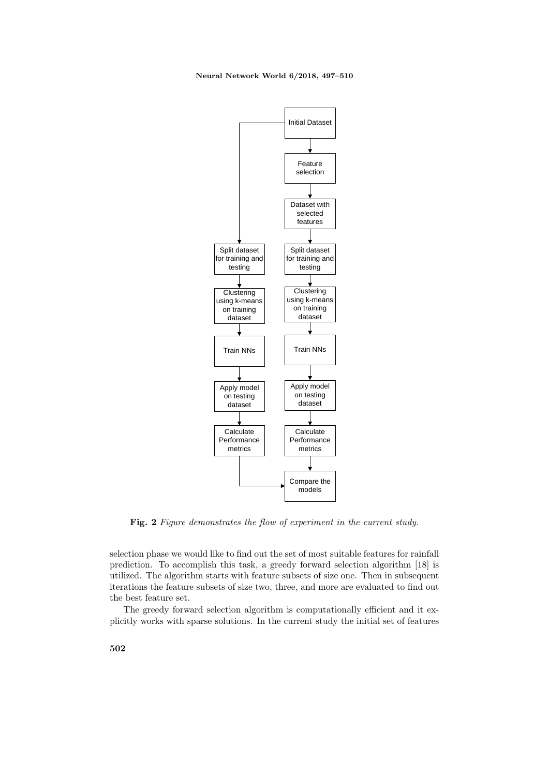

Fig. 2 Figure demonstrates the flow of experiment in the current study.

selection phase we would like to find out the set of most suitable features for rainfall prediction. To accomplish this task, a greedy forward selection algorithm [18] is utilized. The algorithm starts with feature subsets of size one. Then in subsequent iterations the feature subsets of size two, three, and more are evaluated to find out the best feature set.

The greedy forward selection algorithm is computationally efficient and it explicitly works with sparse solutions. In the current study the initial set of features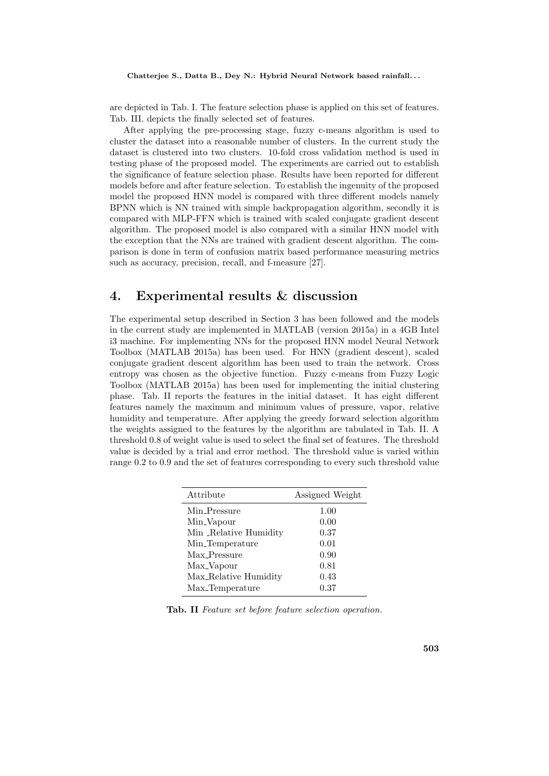are depicted in Tab. I. The feature selection phase is applied on this set of features. Tab. III. depicts the finally selected set of features.

After applying the pre-processing stage, fuzzy c-means algorithm is used to cluster the dataset into a reasonable number of clusters. In the current study the dataset is clustered into two clusters. 10-fold cross validation method is used in testing phase of the proposed model. The experiments are carried out to establish the significance of feature selection phase. Results have been reported for different models before and after feature selection. To establish the ingenuity of the proposed model the proposed HNN model is compared with three different models namely BPNN which is NN trained with simple backpropagation algorithm, secondly it is compared with MLP-FFN which is trained with scaled conjugate gradient descent algorithm. The proposed model is also compared with a similar HNN model with the exception that the NNs are trained with gradient descent algorithm. The comparison is done in term of confusion matrix based performance measuring metrics such as accuracy, precision, recall, and f-measure [27].

# 4. Experimental results & discussion

The experimental setup described in Section 3 has been followed and the models in the current study are implemented in MATLAB (version 2015a) in a 4GB Intel i3 machine. For implementing NNs for the proposed HNN model Neural Network Toolbox (MATLAB 2015a) has been used. For HNN (gradient descent), scaled conjugate gradient descent algorithm has been used to train the network. Cross entropy was chosen as the objective function. Fuzzy c-means from Fuzzy Logic Toolbox (MATLAB 2015a) has been used for implementing the initial clustering phase. Tab. II reports the features in the initial dataset. It has eight different features namely the maximum and minimum values of pressure, vapor, relative humidity and temperature. After applying the greedy forward selection algorithm the weights assigned to the features by the algorithm are tabulated in Tab. II. A threshold 0.8 of weight value is used to select the final set of features. The threshold value is decided by a trial and error method. The threshold value is varied within range 0.2 to 0.9 and the set of features corresponding to every such threshold value

| Attribute                   | Assigned Weight |
|-----------------------------|-----------------|
| Min_Pressure                | 1.00            |
| Min <sub>-Vapour</sub>      | 0.00            |
| Min _Relative Humidity      | 0.37            |
| Min <sub>-Temperature</sub> | 0.01            |
| Max_Pressure                | 0.90            |
| Max_Vapour                  | 0.81            |
| Max_Relative Humidity       | 0.43            |
| Max_Temperature             | 0.37            |

Tab. II Feature set before feature selection operation.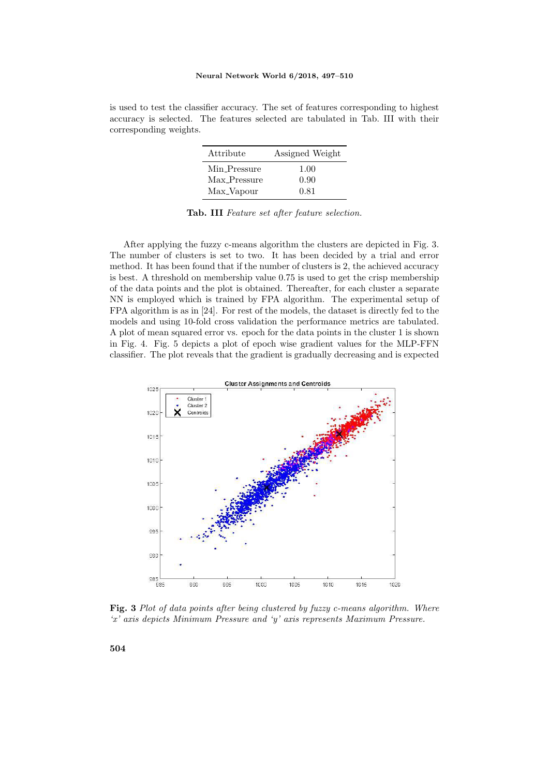is used to test the classifier accuracy. The set of features corresponding to highest accuracy is selected. The features selected are tabulated in Tab. III with their corresponding weights.

| Attribute    | Assigned Weight |
|--------------|-----------------|
| Min_Pressure | 1.00            |
| Max_Pressure | 0.90            |
| Max_Vapour   | 0.81            |

Tab. III Feature set after feature selection.

After applying the fuzzy c-means algorithm the clusters are depicted in Fig. 3. The number of clusters is set to two. It has been decided by a trial and error method. It has been found that if the number of clusters is 2, the achieved accuracy is best. A threshold on membership value 0.75 is used to get the crisp membership of the data points and the plot is obtained. Thereafter, for each cluster a separate NN is employed which is trained by FPA algorithm. The experimental setup of FPA algorithm is as in [24]. For rest of the models, the dataset is directly fed to the models and using 10-fold cross validation the performance metrics are tabulated. A plot of mean squared error vs. epoch for the data points in the cluster 1 is shown in Fig. 4. Fig. 5 depicts a plot of epoch wise gradient values for the MLP-FFN classifier. The plot reveals that the gradient is gradually decreasing and is expected



Fig. 3 Plot of data points after being clustered by fuzzy c-means algorithm. Where  'x' axis depicts Minimum Pressure and 'y' axis represents Maximum Pressure.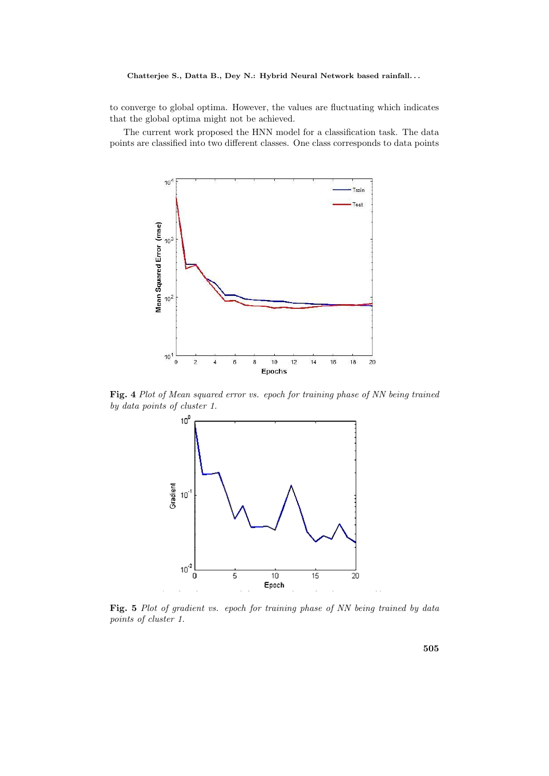### Chatterjee S., Datta B., Dey N.: Hybrid Neural Network based rainfall...

to converge to global optima. However, the values are fluctuating which indicates that the global optima might not be achieved.

The current work proposed the HNN model for a classification task. The data points are classified into two different classes. One class corresponds to data points



**Fig. 4** Plot of Mean squared error vs. epoch for training phase of NN being trained by data points of cluster 1.



**Fig. 5** Plot of gradient vs. epoch for training phase of NN being trained by data points of cluster 1.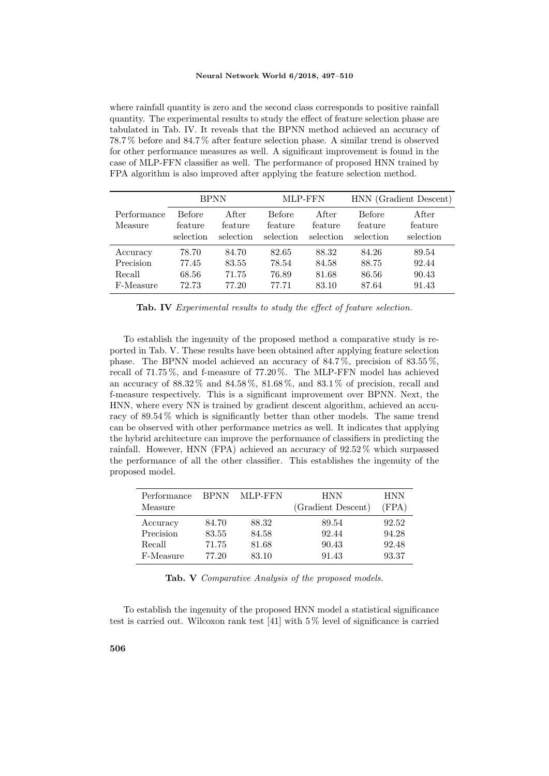where rainfall quantity is zero and the second class corresponds to positive rainfall quantity. The experimental results to study the effect of feature selection phase are tabulated in Tab. IV. It reveals that the BPNN method achieved an accuracy of 78.7 % before and 84.7 % after feature selection phase. A similar trend is observed for other performance measures as well. A significant improvement is found in the case of MLP-FFN classifier as well. The performance of proposed HNN trained by FPA algorithm is also improved after applying the feature selection method.

|                        | <b>BPNN</b>                           |                               | MLP-FFN                               |                               | HNN (Gradient Descent)                |                               |
|------------------------|---------------------------------------|-------------------------------|---------------------------------------|-------------------------------|---------------------------------------|-------------------------------|
| Performance<br>Measure | <b>Before</b><br>feature<br>selection | After<br>feature<br>selection | <b>Before</b><br>feature<br>selection | After<br>feature<br>selection | <b>Before</b><br>feature<br>selection | After<br>feature<br>selection |
| Accuracy               | 78.70                                 | 84.70                         | 82.65                                 | 88.32                         | 84.26                                 | 89.54                         |
| Precision              | 77.45                                 | 83.55                         | 78.54                                 | 84.58                         | 88.75                                 | 92.44                         |
| Recall                 | 68.56                                 | 71.75                         | 76.89                                 | 81.68                         | 86.56                                 | 90.43                         |
| F-Measure              | 72.73                                 | 77.20                         | 77.71                                 | 83.10                         | 87.64                                 | 91.43                         |

Tab. IV Experimental results to study the effect of feature selection.

To establish the ingenuity of the proposed method a comparative study is reported in Tab. V. These results have been obtained after applying feature selection phase. The BPNN model achieved an accuracy of 84.7 %, precision of 83.55 %, recall of 71.75 %, and f-measure of 77.20 %. The MLP-FFN model has achieved an accuracy of  $88.32\%$  and  $84.58\%, 81.68\%,$  and  $83.1\%$  of precision, recall and f-measure respectively. This is a significant improvement over BPNN. Next, the HNN, where every NN is trained by gradient descent algorithm, achieved an accuracy of 89.54 % which is significantly better than other models. The same trend can be observed with other performance metrics as well. It indicates that applying the hybrid architecture can improve the performance of classifiers in predicting the rainfall. However, HNN (FPA) achieved an accuracy of 92.52 % which surpassed the performance of all the other classifier. This establishes the ingenuity of the proposed model.

| Performance<br>Measure | <b>BPNN</b> | MLP-FFN | HNN<br>(Gradient Descent) | HNN<br>(FPA) |
|------------------------|-------------|---------|---------------------------|--------------|
| Accuracy               | 84.70       | 88.32   | 89.54                     | 92.52        |
| Precision              | 83.55       | 84.58   | 92.44                     | 94.28        |
| Recall                 | 71.75       | 81.68   | 90.43                     | 92.48        |
| F-Measure              | 77.20       | 83.10   | 91.43                     | 93.37        |

Tab. V Comparative Analysis of the proposed models.

To establish the ingenuity of the proposed HNN model a statistical significance test is carried out. Wilcoxon rank test [41] with 5 % level of significance is carried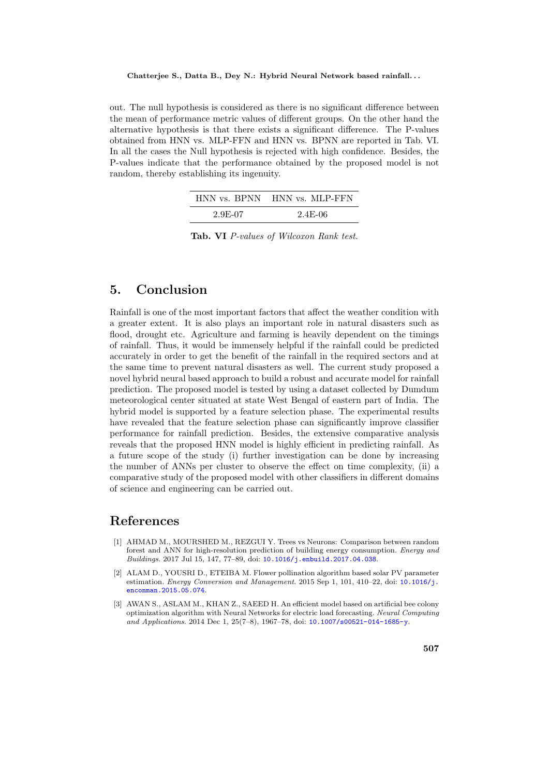#### Chatterjee S., Datta B., Dey N.: Hybrid Neural Network based rainfall. . .

out. The null hypothesis is considered as there is no significant difference between the mean of performance metric values of different groups. On the other hand the alternative hypothesis is that there exists a significant difference. The P-values obtained from HNN vs. MLP-FFN and HNN vs. BPNN are reported in Tab. VI. In all the cases the Null hypothesis is rejected with high confidence. Besides, the P-values indicate that the performance obtained by the proposed model is not random, thereby establishing its ingenuity.

|         | HNN vs. BPNN HNN vs. MLP-FFN |
|---------|------------------------------|
| 2.9E-07 | $2.4E-06$                    |

Tab. VI P-values of Wilcoxon Rank test.

# 5. Conclusion

Rainfall is one of the most important factors that affect the weather condition with a greater extent. It is also plays an important role in natural disasters such as flood, drought etc. Agriculture and farming is heavily dependent on the timings of rainfall. Thus, it would be immensely helpful if the rainfall could be predicted accurately in order to get the benefit of the rainfall in the required sectors and at the same time to prevent natural disasters as well. The current study proposed a novel hybrid neural based approach to build a robust and accurate model for rainfall prediction. The proposed model is tested by using a dataset collected by Dumdum meteorological center situated at state West Bengal of eastern part of India. The hybrid model is supported by a feature selection phase. The experimental results have revealed that the feature selection phase can significantly improve classifier performance for rainfall prediction. Besides, the extensive comparative analysis reveals that the proposed HNN model is highly efficient in predicting rainfall. As a future scope of the study (i) further investigation can be done by increasing the number of ANNs per cluster to observe the effect on time complexity, (ii) a comparative study of the proposed model with other classifiers in different domains of science and engineering can be carried out.

### References

- [1] AHMAD M., MOURSHED M., REZGUI Y. Trees vs Neurons: Comparison between random forest and ANN for high-resolution prediction of building energy consumption. Energy and Buildings. 2017 Jul 15, 147, 77–89, doi: [10.1016/j.enbuild.2017.04.038](http://dx.doi.org/10.1016/j.enbuild.2017.04.038).
- [2] ALAM D., YOUSRI D., ETEIBA M. Flower pollination algorithm based solar PV parameter estimation. Energy Conversion and Management. 2015 Sep 1, 101, 410–22, doi: [10.1016/j.](http://dx.doi.org/10.1016/j.enconman.2015.05.074) [enconman.2015.05.074](http://dx.doi.org/10.1016/j.enconman.2015.05.074).
- [3] AWAN S., ASLAM M., KHAN Z., SAEED H. An efficient model based on artificial bee colony optimization algorithm with Neural Networks for electric load forecasting. Neural Computing and Applications. 2014 Dec 1, 25(7–8), 1967–78, doi: [10.1007/s00521-014-1685-y](http://dx.doi.org/10.1007/s00521-014-1685-y).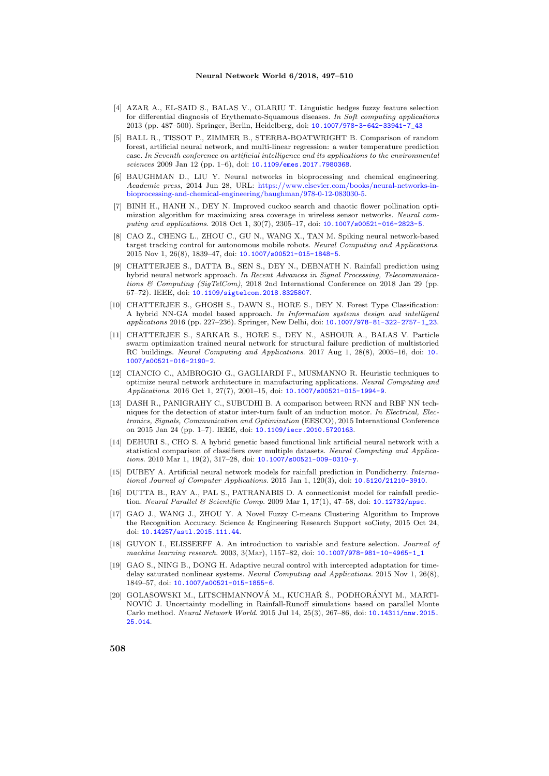- [4] AZAR A., EL-SAID S., BALAS V., OLARIU T. Linguistic hedges fuzzy feature selection for differential diagnosis of Erythemato-Squamous diseases. In Soft computing applications 2013 (pp. 487–500). Springer, Berlin, Heidelberg, doi: [10.1007/978-3-642-33941-7\\_43](http://dx.doi.org/10.1007/978-3-642-33941-7_43)
- [5] BALL R., TISSOT P., ZIMMER B., STERBA-BOATWRIGHT B. Comparison of random forest, artificial neural network, and multi-linear regression: a water temperature prediction case. In Seventh conference on artificial intelligence and its applications to the environmental sciences 2009 Jan 12 (pp. 1–6), doi: [10.1109/emes.2017.7980368](http://dx.doi.org/10.1109/emes.2017.7980368).
- [6] BAUGHMAN D., LIU Y. Neural networks in bioprocessing and chemical engineering. Academic press, 2014 Jun 28, URL: [https://www.elsevier.com/books/neural-networks-in](https://www.elsevier.com/books/neural-networks-in-bioprocessing-and-chemical-engineering/baughman/978-0-12-083030-5)[bioprocessing-and-chemical-engineering/baughman/978-0-12-083030-5.](https://www.elsevier.com/books/neural-networks-in-bioprocessing-and-chemical-engineering/baughman/978-0-12-083030-5)
- [7] BINH H., HANH N., DEY N. Improved cuckoo search and chaotic flower pollination optimization algorithm for maximizing area coverage in wireless sensor networks. Neural computing and applications. 2018 Oct 1, 30(7), 2305–17, doi: [10.1007/s00521-016-2823-5](http://dx.doi.org/10.1007/s00521-016-2823-5).
- [8] CAO Z., CHENG L., ZHOU C., GU N., WANG X., TAN M. Spiking neural network-based target tracking control for autonomous mobile robots. Neural Computing and Applications. 2015 Nov 1, 26(8), 1839–47, doi: [10.1007/s00521-015-1848-5](http://dx.doi.org/10.1007/s00521-015-1848-5).
- [9] CHATTERJEE S., DATTA B., SEN S., DEY N., DEBNATH N. Rainfall prediction using hybrid neural network approach. In Recent Advances in Signal Processing, Telecommunications & Computing (SigTelCom), 2018 2nd International Conference on 2018 Jan 29 (pp. 67–72). IEEE, doi: [10.1109/sigtelcom.2018.8325807](http://dx.doi.org/10.1109/sigtelcom.2018.8325807).
- [10] CHATTERJEE S., GHOSH S., DAWN S., HORE S., DEY N. Forest Type Classification: A hybrid NN-GA model based approach. In Information systems design and intelligent applications 2016 (pp. 227–236). Springer, New Delhi, doi: [10.1007/978-81-322-2757-1\\_23](http://dx.doi.org/10.1007/978-81-322-2757-1_23).
- [11] CHATTERJEE S., SARKAR S., HORE S., DEY N., ASHOUR A., BALAS V. Particle swarm optimization trained neural network for structural failure prediction of multistoried RC buildings. Neural Computing and Applications. 2017 Aug 1, 28(8), 2005–16, doi: [10.](http://dx.doi.org/10.1007/s00521-016-2190-2) [1007/s00521-016-2190-2](http://dx.doi.org/10.1007/s00521-016-2190-2).
- [12] CIANCIO C., AMBROGIO G., GAGLIARDI F., MUSMANNO R. Heuristic techniques to optimize neural network architecture in manufacturing applications. Neural Computing and Applications. 2016 Oct 1, 27(7), 2001–15, doi: [10.1007/s00521-015-1994-9](http://dx.doi.org/10.1007/s00521-015-1994-9).
- [13] DASH R., PANIGRAHY C., SUBUDHI B. A comparison between RNN and RBF NN techniques for the detection of stator inter-turn fault of an induction motor. In Electrical, Electronics, Signals, Communication and Optimization (EESCO), 2015 International Conference on 2015 Jan 24 (pp. 1–7). IEEE, doi: [10.1109/iecr.2010.5720163](http://dx.doi.org/10.1109/iecr.2010.5720163).
- [14] DEHURI S., CHO S. A hybrid genetic based functional link artificial neural network with a statistical comparison of classifiers over multiple datasets. Neural Computing and Applications. 2010 Mar 1, 19(2), 317–28, doi: [10.1007/s00521-009-0310-y](http://dx.doi.org/10.1007/s00521-009-0310-y).
- [15] DUBEY A. Artificial neural network models for rainfall prediction in Pondicherry. International Journal of Computer Applications. 2015 Jan 1, 120(3), doi: [10.5120/21210-3910](http://dx.doi.org/10.5120/21210-3910).
- [16] DUTTA B., RAY A., PAL S., PATRANABIS D. A connectionist model for rainfall predic-tion. Neural Parallel & Scientific Comp. 2009 Mar 1, 17(1), 47-58, doi: [10.12732/npsc](http://dx.doi.org/10.12732/npsc).
- [17] GAO J., WANG J., ZHOU Y. A Novel Fuzzy C-means Clustering Algorithm to Improve the Recognition Accuracy. Science & Engineering Research Support soCiety, 2015 Oct 24, doi: [10.14257/astl.2015.111.44](http://dx.doi.org/10.14257/astl.2015.111.44).
- [18] GUYON I., ELISSEEFF A. An introduction to variable and feature selection. *Journal of* machine learning research. 2003, 3(Mar), 1157–82, doi: [10.1007/978-981-10-4965-1\\_1](http://dx.doi.org/10.1007/978-981-10-4965-1_1)
- [19] GAO S., NING B., DONG H. Adaptive neural control with intercepted adaptation for timedelay saturated nonlinear systems. Neural Computing and Applications. 2015 Nov 1, 26(8), 1849–57, doi: [10.1007/s00521-015-1855-6](http://dx.doi.org/10.1007/s00521-015-1855-6).
- [20] GOLASOWSKI M., LITSCHMANNOVÁ M., KUCHAŘ Š., PODHORÁNYI M., MARTI-NOVIC J. Uncertainty modelling in Rainfall-Runoff simulations based on parallel Monte Carlo method. Neural Network World. 2015 Jul 14, 25(3), 267–86, doi: [10.14311/nnw.2015.](http://dx.doi.org/10.14311/nnw.2015.25.014) [25.014](http://dx.doi.org/10.14311/nnw.2015.25.014).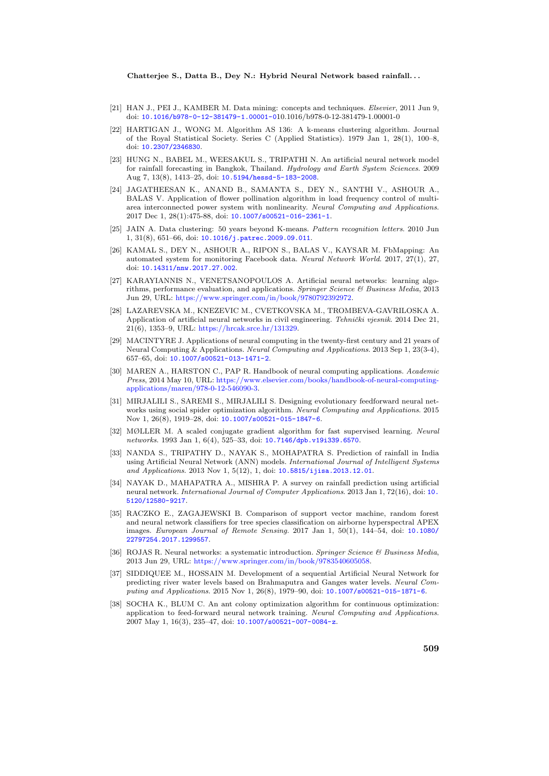#### Chatterjee S., Datta B., Dey N.: Hybrid Neural Network based rainfall. . .

- [21] HAN J., PEI J., KAMBER M. Data mining: concepts and techniques. *Elsevier*, 2011 Jun 9, doi: [10.1016/b978-0-12-381479-1.00001-0](http://dx.doi.org/10.1016/b978-0-12-381479-1.00001-0)10.1016/b978-0-12-381479-1.00001-0
- [22] HARTIGAN J., WONG M. Algorithm AS 136: A k-means clustering algorithm. Journal of the Royal Statistical Society. Series C (Applied Statistics). 1979 Jan 1, 28(1), 100–8, doi: [10.2307/2346830](http://dx.doi.org/10.2307/2346830).
- [23] HUNG N., BABEL M., WEESAKUL S., TRIPATHI N. An artificial neural network model for rainfall forecasting in Bangkok, Thailand. Hydrology and Earth System Sciences, 2009 Aug 7, 13(8), 1413–25, doi: [10.5194/hessd-5-183-2008](http://dx.doi.org/10.5194/hessd-5-183-2008).
- [24] JAGATHEESAN K., ANAND B., SAMANTA S., DEY N., SANTHI V., ASHOUR A., BALAS V. Application of flower pollination algorithm in load frequency control of multiarea interconnected power system with nonlinearity. Neural Computing and Applications. 2017 Dec 1, 28(1):475-88, doi: [10.1007/s00521-016-2361-1](http://dx.doi.org/10.1007/s00521-016-2361-1).
- [25] JAIN A. Data clustering: 50 years beyond K-means. Pattern recognition letters. 2010 Jun 1, 31(8), 651–66, doi: [10.1016/j.patrec.2009.09.011](http://dx.doi.org/10.1016/j.patrec.2009.09.011).
- [26] KAMAL S., DEY N., ASHOUR A., RIPON S., BALAS V., KAYSAR M. FbMapping: An automated system for monitoring Facebook data. Neural Network World. 2017, 27(1), 27, doi: [10.14311/nnw.2017.27.002](http://dx.doi.org/10.14311/nnw.2017.27.002).
- [27] KARAYIANNIS N., VENETSANOPOULOS A. Artificial neural networks: learning algorithms, performance evaluation, and applications. Springer Science & Business Media, 2013 Jun 29, URL: [https://www.springer.com/in/book/9780792392972.](https://www.springer.com/in/book/9780792392972)
- [28] LAZAREVSKA M., KNEZEVIC M., CVETKOVSKA M., TROMBEVA-GAVRILOSKA A. Application of artificial neural networks in civil engineering. Tehnički vjesnik. 2014 Dec 21, 21(6), 1353–9, URL: [https://hrcak.srce.hr/131329.](https://hrcak.srce.hr/131329)
- [29] MACINTYRE J. Applications of neural computing in the twenty-first century and 21 years of Neural Computing & Applications. Neural Computing and Applications. 2013 Sep 1, 23(3-4), 657–65, doi: [10.1007/s00521-013-1471-2](http://dx.doi.org/10.1007/s00521-013-1471-2).
- [30] MAREN A., HARSTON C., PAP R. Handbook of neural computing applications. Academic Press, 2014 May 10, URL: [https://www.elsevier.com/books/handbook-of-neural-computing](https://www.elsevier.com/books/handbook-of-neural-computing-applications/maren/978-0-12-546090-3)[applications/maren/978-0-12-546090-3.](https://www.elsevier.com/books/handbook-of-neural-computing-applications/maren/978-0-12-546090-3)
- [31] MIRJALILI S., SAREMI S., MIRJALILI S. Designing evolutionary feedforward neural networks using social spider optimization algorithm. Neural Computing and Applications. 2015 Nov 1, 26(8), 1919–28, doi: [10.1007/s00521-015-1847-6](http://dx.doi.org/10.1007/s00521-015-1847-6).
- [32] MØLLER M. A scaled conjugate gradient algorithm for fast supervised learning. Neural networks. 1993 Jan 1, 6(4), 525–33, doi: [10.7146/dpb.v19i339.6570](http://dx.doi.org/10.7146/dpb.v19i339.6570).
- [33] NANDA S., TRIPATHY D., NAYAK S., MOHAPATRA S. Prediction of rainfall in India using Artificial Neural Network (ANN) models. International Journal of Intelligent Systems and Applications. 2013 Nov 1, 5(12), 1, doi: [10.5815/ijisa.2013.12.01](http://dx.doi.org/10.5815/ijisa.2013.12.01).
- [34] NAYAK D., MAHAPATRA A., MISHRA P. A survey on rainfall prediction using artificial neural network. International Journal of Computer Applications. 2013 Jan 1, 72(16), doi: [10.](http://dx.doi.org/10.5120/12580-9217) [5120/12580-9217](http://dx.doi.org/10.5120/12580-9217).
- [35] RACZKO E., ZAGAJEWSKI B. Comparison of support vector machine, random forest and neural network classifiers for tree species classification on airborne hyperspectral APEX images. European Journal of Remote Sensing. 2017 Jan 1, 50(1), 144–54, doi: [10.1080/](http://dx.doi.org/10.1080/22797254.2017.1299557) [22797254.2017.1299557](http://dx.doi.org/10.1080/22797254.2017.1299557).
- [36] ROJAS R. Neural networks: a systematic introduction. Springer Science & Business Media, 2013 Jun 29, URL: [https://www.springer.com/in/book/9783540605058.](https://www.springer.com/in/book/9783540605058)
- [37] SIDDIQUEE M., HOSSAIN M. Development of a sequential Artificial Neural Network for predicting river water levels based on Brahmaputra and Ganges water levels. Neural Computing and Applications. 2015 Nov 1, 26(8), 1979–90, doi: [10.1007/s00521-015-1871-6](http://dx.doi.org/10.1007/s00521-015-1871-6).
- [38] SOCHA K., BLUM C. An ant colony optimization algorithm for continuous optimization: application to feed-forward neural network training. Neural Computing and Applications. 2007 May 1, 16(3), 235–47, doi: [10.1007/s00521-007-0084-z](http://dx.doi.org/10.1007/s00521-007-0084-z).